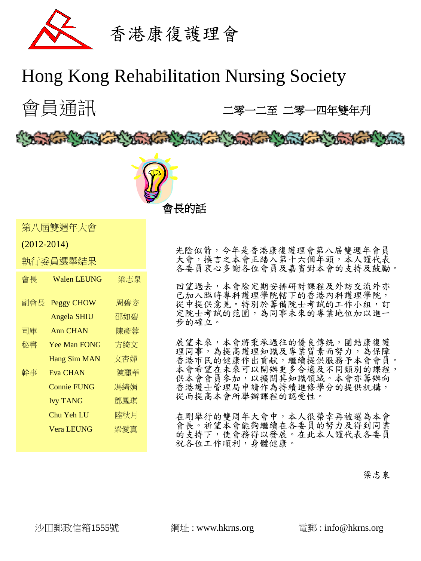

# Hong Kong Rehabilitation Nursing Society

Barbara Martin College and Martin College and College and Martin The Ward





第八屆雙週年大會

(2012-2014)

執行委員選舉結果

| 會長  | Walen LEUNG         | 梁志泉 |
|-----|---------------------|-----|
| 副會長 | <b>Peggy CHOW</b>   | 周碧姿 |
|     | <b>Angela SHIU</b>  | 邵如碧 |
| 司庫  | <b>Ann CHAN</b>     | 陳彥蓉 |
| 秘書  | <b>Yee Man FONG</b> | 方綺文 |
|     | <b>Hang Sim MAN</b> | 文杏嬋 |
| 幹事  | <b>Eva CHAN</b>     | 陳麗華 |
|     | <b>Connie FUNG</b>  | 馮綺娟 |
|     | <b>Ivy TANG</b>     | 鄧鳳琪 |
|     | Chu Yeh LU          | 陸秋月 |
|     | <b>Vera LEUNG</b>   | 梁愛真 |
|     |                     |     |

光陰似箭,今年是香港康復護理會第八届雙週年會員 大會,換言之本會正踏入第十六個年頭,本人謹代表 各委員衷心多謝各位會員及嘉賓對本會的支持及鼓勵。

回望過去,本會除定期安排研討課程及外訪交流外亦 已加入臨時專科護理學院轄下的香港內科護理學院, 從中提供意見。特別於籌備院士考試的工作小組,訂 定院士考試的范圍,為同事未來的專業地位加以進一 步的確立。

展望未來,本會將秉承過往的優良傳统,團結康復護 理同事,為提高護理知識及專業質素而努力,為保障 香港市民的健康作出貢献,繼續提供服務予本會會員。 本會希望在未來可以開辦更多合適及不同類別的課程, 供本會會員參加,以擴闊其知識領域。本會亦籌辦向 香港護士管理局申請作為持績進修學分的提供机構, 從而提高本會所舉辦課程的認受性。

在剛舉行的雙周年大會中,本人很榮幸再被選為本會 會長。祈望本會能夠繼續在各委員的努力及得到同業 的支持下,使會務得以發展。在此本人謹代表各委員 祝各位工作順利,身體健康。

### 深志泉 おおおとこ あいしょう こうしょう こうしょう こうしょう アイスト こうしょう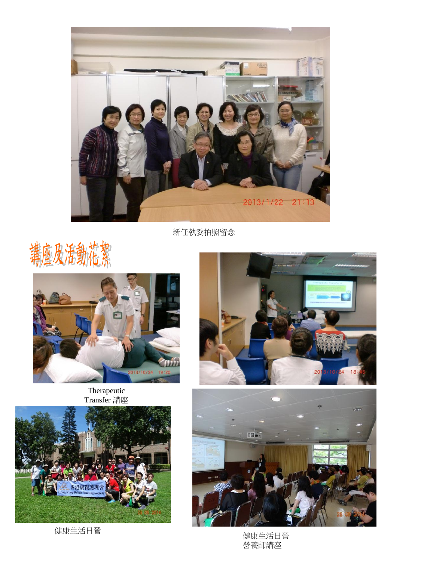

新任執委拍照留念





#### Therapeutic Transfer 講座



健康生活日營





健康生活日營 營養師講座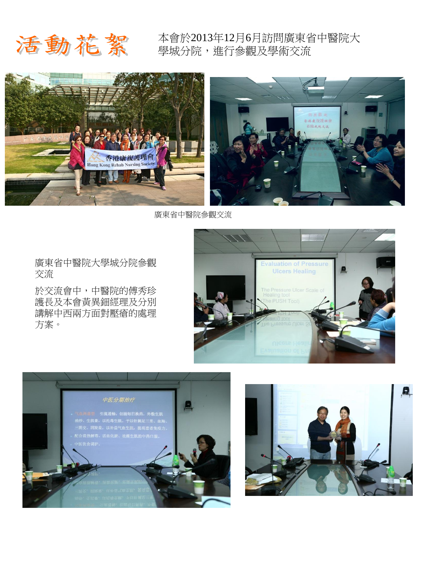# 活動花絮

本會於2013年12月6月訪問廣東省中醫院大 學城分院,進行參觀及學術交流



廣東省中醫院參觀交流

廣東省中醫院大學城分院參觀 交流

於交流會中,中醫院的傅秀珍 護長及本會黃異鈿經理及分別 講解中西兩方面對壓瘡的處理 方案。